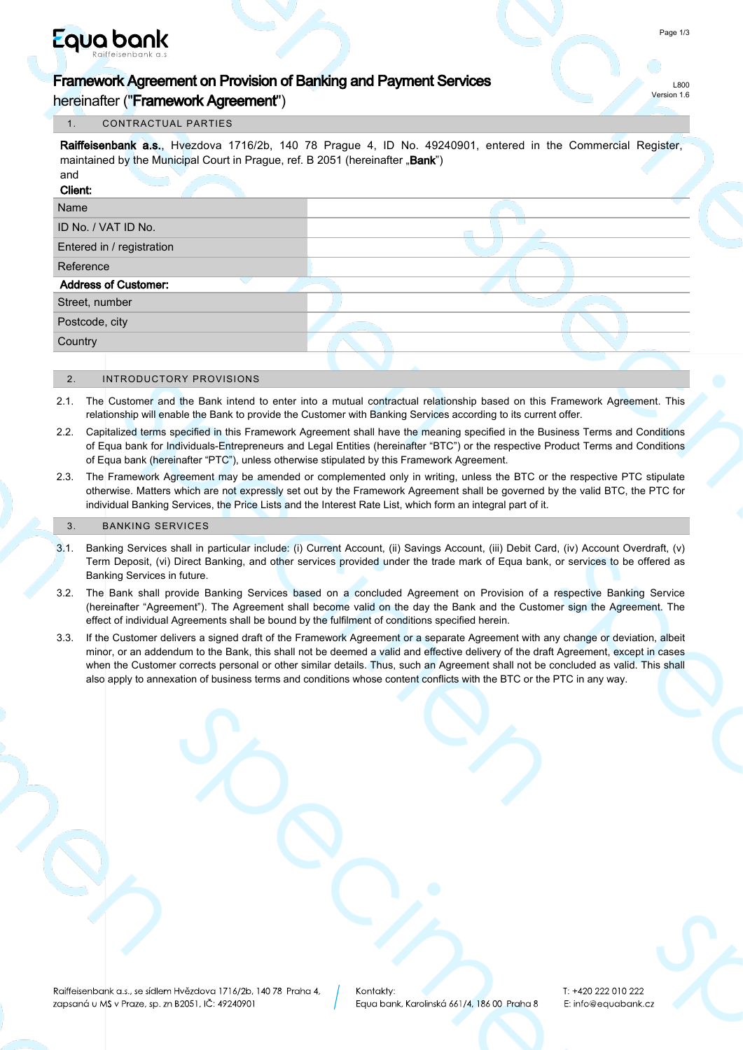# Equa bank

hereinafter ("Framework Agreement")

### 1. CONTRACTUAL PARTIES

Raiffeisenbank a.s., Hvezdova 1716/2b, 140 78 Prague 4, ID No. 49240901, entered in the Commercial Register, maintained by the Municipal Court in Prague, ref. B 2051 (hereinafter .. Bank")

| and                         |  |
|-----------------------------|--|
| Client:                     |  |
| Name                        |  |
| ID No. / VAT ID No.         |  |
| Entered in / registration   |  |
| Reference                   |  |
| <b>Address of Customer:</b> |  |
| Street, number              |  |
| Postcode, city              |  |
| Country                     |  |
|                             |  |

#### 2. INTRODUCTORY PROVISIONS

- 2.1. The Customer and the Bank intend to enter into a mutual contractual relationship based on this Framework Agreement. This relationship will enable the Bank to provide the Customer with Banking Services according to its current offer.
- 2.2. Capitalized terms specified in this Framework Agreement shall have the meaning specified in the Business Terms and Conditions of Equa bank for Individuals-Entrepreneurs and Legal Entities (hereinafter "BTC") or the respective Product Terms and Conditions of Equa bank (hereinafter "PTC"), unless otherwise stipulated by this Framework Agreement.
- 2.3. The Framework Agreement may be amended or complemented only in writing, unless the BTC or the respective PTC stipulate otherwise. Matters which are not expressly set out by the Framework Agreement shall be governed by the valid BTC, the PTC for individual Banking Services, the Price Lists and the Interest Rate List, which form an integral part of it.

#### 3. BANKING SERVICES

- 3.1. Banking Services shall in particular include: (i) Current Account, (ii) Savings Account, (iii) Debit Card, (iv) Account Overdraft, (v) Term Deposit, (vi) Direct Banking, and other services provided under the trade mark of Equa bank, or services to be offered as Banking Services in future.
- 3.2. The Bank shall provide Banking Services based on a concluded Agreement on Provision of a respective Banking Service (hereinafter "Agreement"). The Agreement shall become valid on the day the Bank and the Customer sign the Agreement. The effect of individual Agreements shall be bound by the fulfilment of conditions specified herein.
- 3.3. If the Customer delivers a signed draft of the Framework Agreement or a separate Agreement with any change or deviation, albeit minor, or an addendum to the Bank, this shall not be deemed a valid and effective delivery of the draft Agreement, except in cases when the Customer corrects personal or other similar details. Thus, such an Agreement shall not be concluded as valid. This shall also apply to annexation of business terms and conditions whose content conflicts with the BTC or the PTC in any way.

L800 Version 1.6

T: +420 222 010 222 E: info@equabank.cz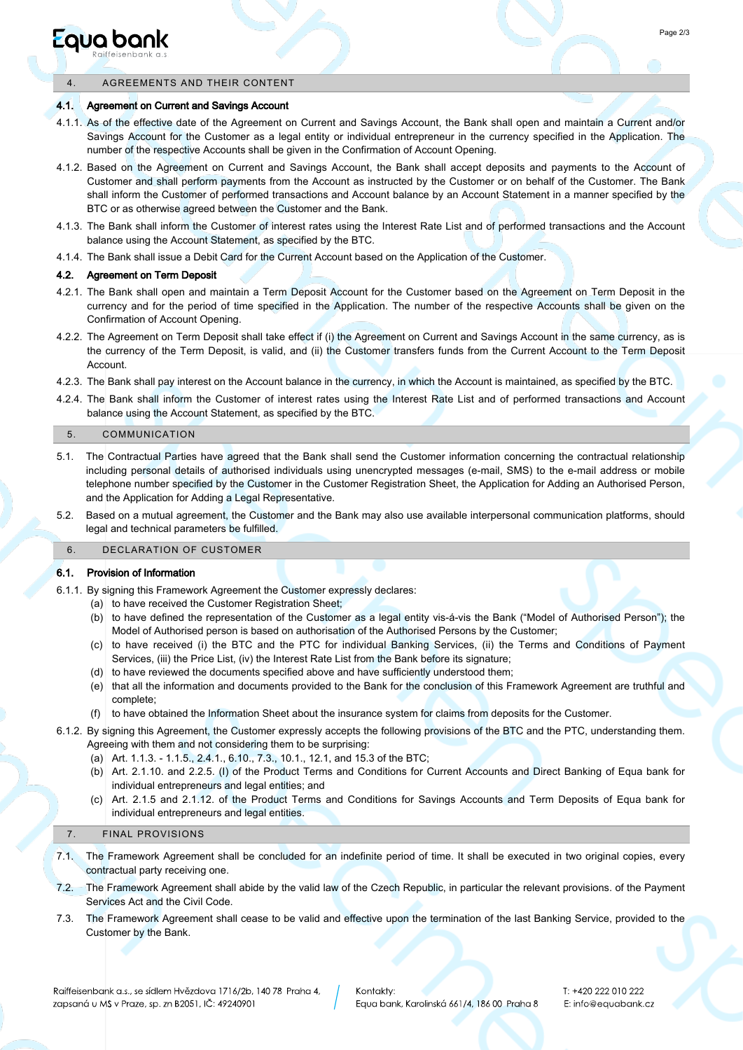## Eaua bank

#### 4. AGREEMENTS AND THEIR CONTENT

#### 4.1. Agreement on Current and Savings Account

- 4.1.1. As of the effective date of the Agreement on Current and Savings Account, the Bank shall open and maintain a Current and/or Savings Account for the Customer as a legal entity or individual entrepreneur in the currency specified in the Application. The number of the respective Accounts shall be given in the Confirmation of Account Opening.
- 4.1.2. Based on the Agreement on Current and Savings Account, the Bank shall accept deposits and payments to the Account of Customer and shall perform payments from the Account as instructed by the Customer or on behalf of the Customer. The Bank shall inform the Customer of performed transactions and Account balance by an Account Statement in a manner specified by the BTC or as otherwise agreed between the Customer and the Bank.
- 4.1.3. The Bank shall inform the Customer of interest rates using the Interest Rate List and of performed transactions and the Account balance using the Account Statement, as specified by the BTC.
- 4.1.4. The Bank shall issue a Debit Card for the Current Account based on the Application of the Customer.

#### 4.2. Agreement on Term Deposit

- 4.2.1. The Bank shall open and maintain a Term Deposit Account for the Customer based on the Agreement on Term Deposit in the currency and for the period of time specified in the Application. The number of the respective Accounts shall be given on the Confirmation of Account Opening.
- 4.2.2. The Agreement on Term Deposit shall take effect if (i) the Agreement on Current and Savings Account in the same currency, as is the currency of the Term Deposit, is valid, and (ii) the Customer transfers funds from the Current Account to the Term Deposit Account.
- 4.2.3. The Bank shall pay interest on the Account balance in the currency, in which the Account is maintained, as specified by the BTC.
- 4.2.4. The Bank shall inform the Customer of interest rates using the Interest Rate List and of performed transactions and Account balance using the Account Statement, as specified by the BTC.

#### 5. COMMUNICATION

- 5.1. The Contractual Parties have agreed that the Bank shall send the Customer information concerning the contractual relationship including personal details of authorised individuals using unencrypted messages (e-mail, SMS) to the e-mail address or mobile telephone number specified by the Customer in the Customer Registration Sheet, the Application for Adding an Authorised Person, and the Application for Adding a Legal Representative.
- 5.2. Based on a mutual agreement, the Customer and the Bank may also use available interpersonal communication platforms, should legal and technical parameters be fulfilled.

#### 6. DECLARATION OF CUSTOMER

#### 6.1. Provision of Information

6.1.1. By signing this Framework Agreement the Customer expressly declares:

- (a) to have received the Customer Registration Sheet;
- (b) to have defined the representation of the Customer as a legal entity vis-á-vis the Bank ("Model of Authorised Person"); the Model of Authorised person is based on authorisation of the Authorised Persons by the Customer;
- to have received (i) the BTC and the PTC for individual Banking Services, (ii) the Terms and Conditions of Payment (c) Services, (iii) the Price List, (iv) the Interest Rate List from the Bank before its signature;
- (d) to have reviewed the documents specified above and have sufficiently understood them;
- (e) that all the information and documents provided to the Bank for the conclusion of this Framework Agreement are truthful and complete;
- (f) to have obtained the Information Sheet about the insurance system for claims from deposits for the Customer.
- 6.1.2. By signing this Agreement, the Customer expressly accepts the following provisions of the BTC and the PTC, understanding them. Agreeing with them and not considering them to be surprising:
	- (a) Art. 1.1.3. 1.1.5., 2.4.1., 6.10., 7.3., 10.1., 12.1, and 15.3 of the BTC;
	- (b) Art. 2.1.10. and 2.2.5. (I) of the Product Terms and Conditions for Current Accounts and Direct Banking of Equa bank for individual entrepreneurs and legal entities; and
	- Art. 2.1.5 and 2.1.12. of the Product Terms and Conditions for Savings Accounts and Term Deposits of Equa bank for (c) individual entrepreneurs and legal entities.

#### 7. FINAL PROVISIONS

- 7.1. The Framework Agreement shall be concluded for an indefinite period of time. It shall be executed in two original copies, every contractual party receiving one.
- 7.2. The Framework Agreement shall abide by the valid law of the Czech Republic, in particular the relevant provisions. of the Payment Services Act and the Civil Code.
- 7.3. The Framework Agreement shall cease to be valid and effective upon the termination of the last Banking Service, provided to the Customer by the Bank.